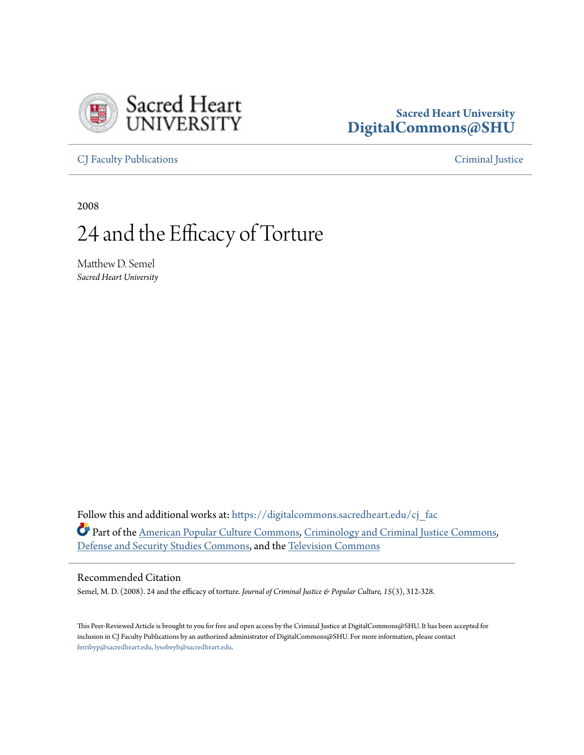

# **Sacred Heart University [DigitalCommons@SHU](https://digitalcommons.sacredheart.edu?utm_source=digitalcommons.sacredheart.edu%2Fcj_fac%2F11&utm_medium=PDF&utm_campaign=PDFCoverPages)**

[CJ Faculty Publications](https://digitalcommons.sacredheart.edu/cj_fac?utm_source=digitalcommons.sacredheart.edu%2Fcj_fac%2F11&utm_medium=PDF&utm_campaign=PDFCoverPages) [Criminal Justice](https://digitalcommons.sacredheart.edu/cj?utm_source=digitalcommons.sacredheart.edu%2Fcj_fac%2F11&utm_medium=PDF&utm_campaign=PDFCoverPages)

2008

# 24 and the Efficacy of Torture

Matthew D. Semel *Sacred Heart University*

Follow this and additional works at: [https://digitalcommons.sacredheart.edu/cj\\_fac](https://digitalcommons.sacredheart.edu/cj_fac?utm_source=digitalcommons.sacredheart.edu%2Fcj_fac%2F11&utm_medium=PDF&utm_campaign=PDFCoverPages) Part of the [American Popular Culture Commons](http://network.bepress.com/hgg/discipline/443?utm_source=digitalcommons.sacredheart.edu%2Fcj_fac%2F11&utm_medium=PDF&utm_campaign=PDFCoverPages), [Criminology and Criminal Justice Commons,](http://network.bepress.com/hgg/discipline/367?utm_source=digitalcommons.sacredheart.edu%2Fcj_fac%2F11&utm_medium=PDF&utm_campaign=PDFCoverPages) [Defense and Security Studies Commons,](http://network.bepress.com/hgg/discipline/394?utm_source=digitalcommons.sacredheart.edu%2Fcj_fac%2F11&utm_medium=PDF&utm_campaign=PDFCoverPages) and the [Television Commons](http://network.bepress.com/hgg/discipline/1143?utm_source=digitalcommons.sacredheart.edu%2Fcj_fac%2F11&utm_medium=PDF&utm_campaign=PDFCoverPages)

#### Recommended Citation

Semel, M. D. (2008). 24 and the efficacy of torture. *Journal of Criminal Justice & Popular Culture*, 15(3), 312-328.

This Peer-Reviewed Article is brought to you for free and open access by the Criminal Justice at DigitalCommons@SHU. It has been accepted for inclusion in CJ Faculty Publications by an authorized administrator of DigitalCommons@SHU. For more information, please contact [ferribyp@sacredheart.edu, lysobeyb@sacredheart.edu.](mailto:ferribyp@sacredheart.edu,%20lysobeyb@sacredheart.edu)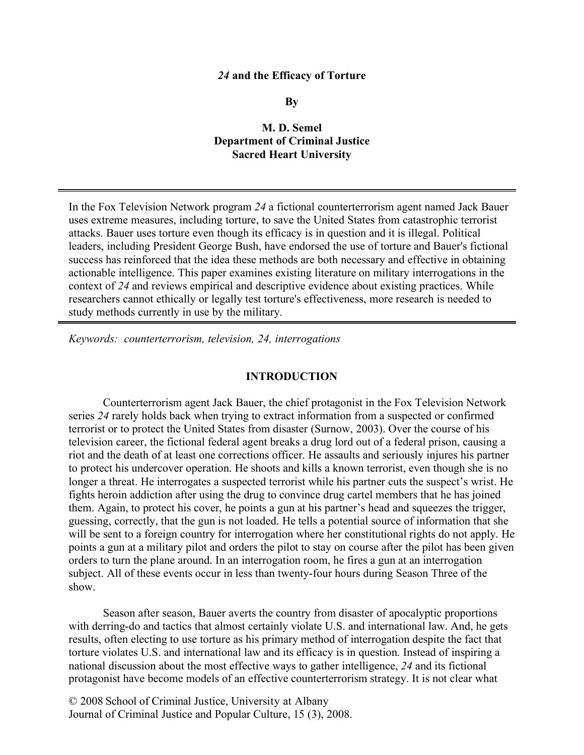#### *24* **and the Efficacy of Torture**

**By**

#### **M. D. Semel Department of Criminal Justice Sacred Heart University**

In the Fox Television Network program *24* a fictional counterterrorism agent named Jack Bauer uses extreme measures, including torture, to save the United States from catastrophic terrorist attacks. Bauer uses torture even though its efficacy is in question and it is illegal. Political leaders, including President George Bush, have endorsed the use of torture and Bauer's fictional success has reinforced that the idea these methods are both necessary and effective in obtaining actionable intelligence. This paper examines existing literature on military interrogations in the context of *24* and reviews empirical and descriptive evidence about existing practices. While researchers cannot ethically or legally test torture's effectiveness, more research is needed to study methods currently in use by the military.

*Keywords: counterterrorism, television, 24, interrogations*

#### **INTRODUCTION**

Counterterrorism agent Jack Bauer, the chief protagonist in the Fox Television Network series *24* rarely holds back when trying to extract information from a suspected or confirmed terrorist or to protect the United States from disaster (Surnow, 2003). Over the course of his television career, the fictional federal agent breaks a drug lord out of a federal prison, causing a riot and the death of at least one corrections officer. He assaults and seriously injures his partner to protect his undercover operation. He shoots and kills a known terrorist, even though she is no longer a threat. He interrogates a suspected terrorist while his partner cuts the suspect's wrist. He fights heroin addiction after using the drug to convince drug cartel members that he has joined them. Again, to protect his cover, he points a gun at his partner's head and squeezes the trigger, guessing, correctly, that the gun is not loaded. He tells a potential source of information that she will be sent to a foreign country for interrogation where her constitutional rights do not apply. He points a gun at a military pilot and orders the pilot to stay on course after the pilot has been given orders to turn the plane around. In an interrogation room, he fires a gun at an interrogation subject. All of these events occur in less than twenty-four hours during Season Three of the show.

Season after season, Bauer averts the country from disaster of apocalyptic proportions with derring-do and tactics that almost certainly violate U.S. and international law. And, he gets results, often electing to use torture as his primary method of interrogation despite the fact that torture violates U.S. and international law and its efficacy is in question. Instead of inspiring a national discussion about the most effective ways to gather intelligence, *24* and its fictional protagonist have become models of an effective counterterrorism strategy. It is not clear what

© 2008 School of Criminal Justice, University at Albany Journal of Criminal Justice and Popular Culture, 15 (3), 2008.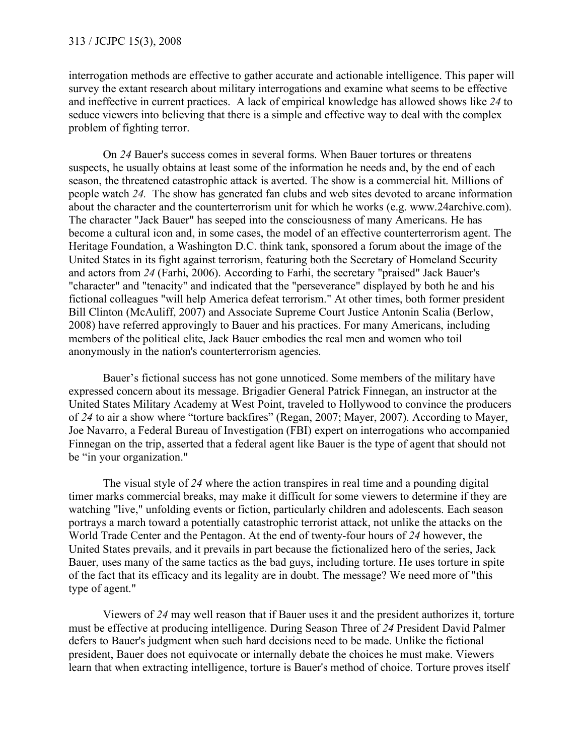interrogation methods are effective to gather accurate and actionable intelligence. This paper will survey the extant research about military interrogations and examine what seems to be effective and ineffective in current practices. A lack of empirical knowledge has allowed shows like *24* to seduce viewers into believing that there is a simple and effective way to deal with the complex problem of fighting terror.

On *24* Bauer's success comes in several forms. When Bauer tortures or threatens suspects, he usually obtains at least some of the information he needs and, by the end of each season, the threatened catastrophic attack is averted. The show is a commercial hit. Millions of people watch *24.* The show has generated fan clubs and web sites devoted to arcane information about the character and the counterterrorism unit for which he works (e.g. www.24archive.com). The character "Jack Bauer" has seeped into the consciousness of many Americans. He has become a cultural icon and, in some cases, the model of an effective counterterrorism agent. The Heritage Foundation, a Washington D.C. think tank, sponsored a forum about the image of the United States in its fight against terrorism, featuring both the Secretary of Homeland Security and actors from *24* (Farhi, 2006). According to Farhi, the secretary "praised" Jack Bauer's "character" and "tenacity" and indicated that the "perseverance" displayed by both he and his fictional colleagues "will help America defeat terrorism." At other times, both former president Bill Clinton (McAuliff, 2007) and Associate Supreme Court Justice Antonin Scalia (Berlow, 2008) have referred approvingly to Bauer and his practices. For many Americans, including members of the political elite, Jack Bauer embodies the real men and women who toil anonymously in the nation's counterterrorism agencies.

Bauer's fictional success has not gone unnoticed. Some members of the military have expressed concern about its message. Brigadier General Patrick Finnegan, an instructor at the United States Military Academy at West Point, traveled to Hollywood to convince the producers of *24* to air a show where "torture backfires" (Regan, 2007; Mayer, 2007). According to Mayer, Joe Navarro, a Federal Bureau of Investigation (FBI) expert on interrogations who accompanied Finnegan on the trip, asserted that a federal agent like Bauer is the type of agent that should not be "in your organization."

The visual style of *24* where the action transpires in real time and a pounding digital timer marks commercial breaks, may make it difficult for some viewers to determine if they are watching "live," unfolding events or fiction, particularly children and adolescents. Each season portrays a march toward a potentially catastrophic terrorist attack, not unlike the attacks on the World Trade Center and the Pentagon. At the end of twenty-four hours of *24* however, the United States prevails, and it prevails in part because the fictionalized hero of the series, Jack Bauer, uses many of the same tactics as the bad guys, including torture. He uses torture in spite of the fact that its efficacy and its legality are in doubt. The message? We need more of "this type of agent."

Viewers of *24* may well reason that if Bauer uses it and the president authorizes it, torture must be effective at producing intelligence. During Season Three of *24* President David Palmer defers to Bauer's judgment when such hard decisions need to be made. Unlike the fictional president, Bauer does not equivocate or internally debate the choices he must make. Viewers learn that when extracting intelligence, torture is Bauer's method of choice. Torture proves itself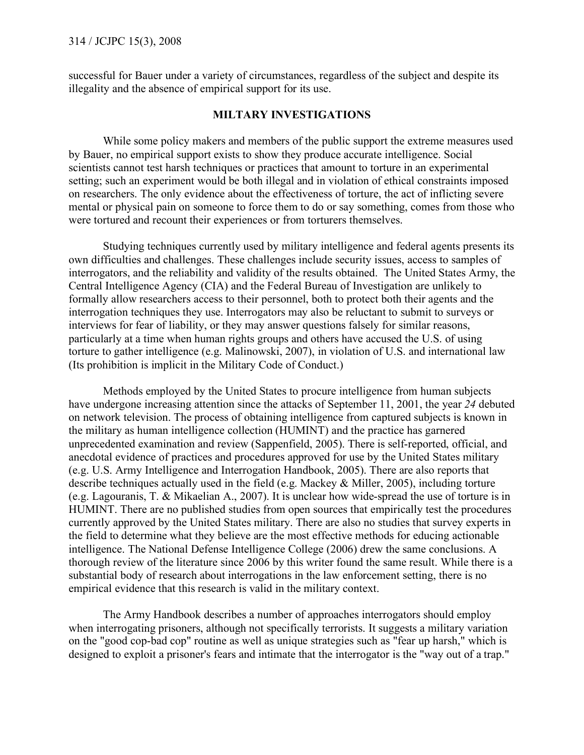successful for Bauer under a variety of circumstances, regardless of the subject and despite its illegality and the absence of empirical support for its use.

#### **MILTARY INVESTIGATIONS**

While some policy makers and members of the public support the extreme measures used by Bauer, no empirical support exists to show they produce accurate intelligence. Social scientists cannot test harsh techniques or practices that amount to torture in an experimental setting; such an experiment would be both illegal and in violation of ethical constraints imposed on researchers. The only evidence about the effectiveness of torture, the act of inflicting severe mental or physical pain on someone to force them to do or say something, comes from those who were tortured and recount their experiences or from torturers themselves.

Studying techniques currently used by military intelligence and federal agents presents its own difficulties and challenges. These challenges include security issues, access to samples of interrogators, and the reliability and validity of the results obtained. The United States Army, the Central Intelligence Agency (CIA) and the Federal Bureau of Investigation are unlikely to formally allow researchers access to their personnel, both to protect both their agents and the interrogation techniques they use. Interrogators may also be reluctant to submit to surveys or interviews for fear of liability, or they may answer questions falsely for similar reasons, particularly at a time when human rights groups and others have accused the U.S. of using torture to gather intelligence (e.g. Malinowski, 2007), in violation of U.S. and international law (Its prohibition is implicit in the Military Code of Conduct.)

Methods employed by the United States to procure intelligence from human subjects have undergone increasing attention since the attacks of September 11, 2001, the year *24* debuted on network television. The process of obtaining intelligence from captured subjects is known in the military as human intelligence collection (HUMINT) and the practice has garnered unprecedented examination and review (Sappenfield, 2005). There is self-reported, official, and anecdotal evidence of practices and procedures approved for use by the United States military (e.g. U.S. Army Intelligence and Interrogation Handbook, 2005). There are also reports that describe techniques actually used in the field (e.g. Mackey & Miller, 2005), including torture (e.g. Lagouranis, T. & Mikaelian A., 2007). It is unclear how wide-spread the use of torture is in HUMINT. There are no published studies from open sources that empirically test the procedures currently approved by the United States military. There are also no studies that survey experts in the field to determine what they believe are the most effective methods for educing actionable intelligence. The National Defense Intelligence College (2006) drew the same conclusions. A thorough review of the literature since 2006 by this writer found the same result. While there is a substantial body of research about interrogations in the law enforcement setting, there is no empirical evidence that this research is valid in the military context.

The Army Handbook describes a number of approaches interrogators should employ when interrogating prisoners, although not specifically terrorists. It suggests a military variation on the "good cop-bad cop" routine as well as unique strategies such as "fear up harsh," which is designed to exploit a prisoner's fears and intimate that the interrogator is the "way out of a trap."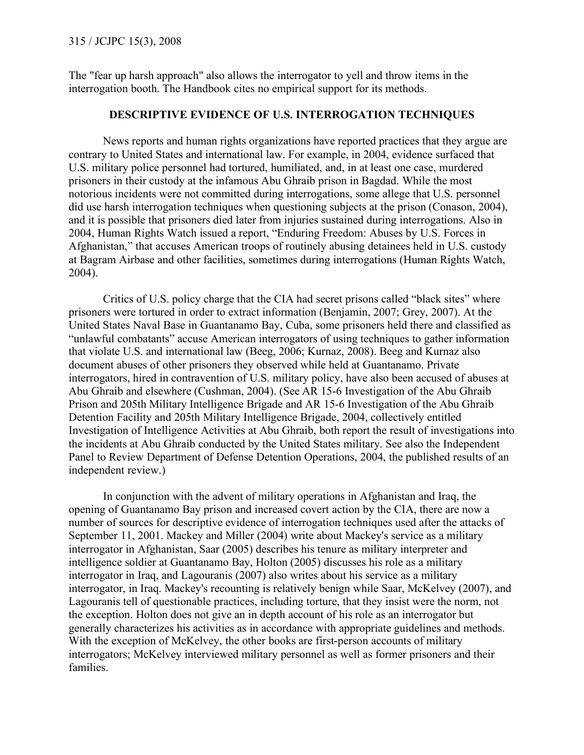The "fear up harsh approach" also allows the interrogator to yell and throw items in the interrogation booth. The Handbook cites no empirical support for its methods.

#### **DESCRIPTIVE EVIDENCE OF U.S. INTERROGATION TECHNIQUES**

News reports and human rights organizations have reported practices that they argue are contrary to United States and international law. For example, in 2004, evidence surfaced that U.S. military police personnel had tortured, humiliated, and, in at least one case, murdered prisoners in their custody at the infamous Abu Ghraib prison in Bagdad. While the most notorious incidents were not committed during interrogations, some allege that U.S. personnel did use harsh interrogation techniques when questioning subjects at the prison (Conason, 2004), and it is possible that prisoners died later from injuries sustained during interrogations. Also in 2004, Human Rights Watch issued a report, "Enduring Freedom: Abuses by U.S. Forces in Afghanistan," that accuses American troops of routinely abusing detainees held in U.S. custody at Bagram Airbase and other facilities, sometimes during interrogations (Human Rights Watch, 2004).

Critics of U.S. policy charge that the CIA had secret prisons called "black sites" where prisoners were tortured in order to extract information (Benjamin, 2007; Grey, 2007). At the United States Naval Base in Guantanamo Bay, Cuba, some prisoners held there and classified as "unlawful combatants" accuse American interrogators of using techniques to gather information that violate U.S. and international law (Beeg, 2006; Kurnaz, 2008). Beeg and Kurnaz also document abuses of other prisoners they observed while held at Guantanamo. Private interrogators, hired in contravention of U.S. military policy, have also been accused of abuses at Abu Ghraib and elsewhere (Cushman, 2004). (See AR 15-6 Investigation of the Abu Ghraib Prison and 205th Military Intelligence Brigade and AR 15-6 Investigation of the Abu Ghraib Detention Facility and 205th Military Intelligence Brigade, 2004, collectively entitled Investigation of Intelligence Activities at Abu Ghraib, both report the result of investigations into the incidents at Abu Ghraib conducted by the United States military. See also the Independent Panel to Review Department of Defense Detention Operations, 2004, the published results of an independent review.)

In conjunction with the advent of military operations in Afghanistan and Iraq, the opening of Guantanamo Bay prison and increased covert action by the CIA, there are now a number of sources for descriptive evidence of interrogation techniques used after the attacks of September 11, 2001. Mackey and Miller (2004) write about Mackey's service as a military interrogator in Afghanistan, Saar (2005) describes his tenure as military interpreter and intelligence soldier at Guantanamo Bay, Holton (2005) discusses his role as a military interrogator in Iraq, and Lagouranis (2007) also writes about his service as a military interrogator, in Iraq. Mackey's recounting is relatively benign while Saar, McKelvey (2007), and Lagouranis tell of questionable practices, including torture, that they insist were the norm, not the exception. Holton does not give an in depth account of his role as an interrogator but generally characterizes his activities as in accordance with appropriate guidelines and methods. With the exception of McKelvey, the other books are first-person accounts of military interrogators; McKelvey interviewed military personnel as well as former prisoners and their families.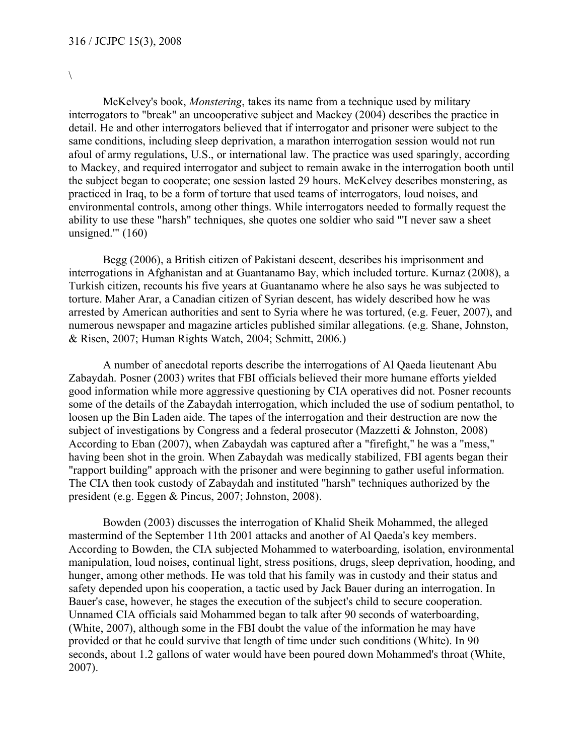$\setminus$ 

McKelvey's book, *Monstering*, takes its name from a technique used by military interrogators to "break" an uncooperative subject and Mackey (2004) describes the practice in detail. He and other interrogators believed that if interrogator and prisoner were subject to the same conditions, including sleep deprivation, a marathon interrogation session would not run afoul of army regulations, U.S., or international law. The practice was used sparingly, according to Mackey, and required interrogator and subject to remain awake in the interrogation booth until the subject began to cooperate; one session lasted 29 hours. McKelvey describes monstering, as practiced in Iraq, to be a form of torture that used teams of interrogators, loud noises, and environmental controls, among other things. While interrogators needed to formally request the ability to use these "harsh" techniques, she quotes one soldier who said "'I never saw a sheet unsigned. $^{\prime\prime\prime}$  (160)

Begg (2006), a British citizen of Pakistani descent, describes his imprisonment and interrogations in Afghanistan and at Guantanamo Bay, which included torture. Kurnaz (2008), a Turkish citizen, recounts his five years at Guantanamo where he also says he was subjected to torture. Maher Arar, a Canadian citizen of Syrian descent, has widely described how he was arrested by American authorities and sent to Syria where he was tortured, (e.g. Feuer, 2007), and numerous newspaper and magazine articles published similar allegations. (e.g. Shane, Johnston, & Risen, 2007; Human Rights Watch, 2004; Schmitt, 2006.)

A number of anecdotal reports describe the interrogations of Al Qaeda lieutenant Abu Zabaydah. Posner (2003) writes that FBI officials believed their more humane efforts yielded good information while more aggressive questioning by CIA operatives did not. Posner recounts some of the details of the Zabaydah interrogation, which included the use of sodium pentathol, to loosen up the Bin Laden aide. The tapes of the interrogation and their destruction are now the subject of investigations by Congress and a federal prosecutor (Mazzetti & Johnston, 2008) According to Eban (2007), when Zabaydah was captured after a "firefight," he was a "mess," having been shot in the groin. When Zabaydah was medically stabilized, FBI agents began their "rapport building" approach with the prisoner and were beginning to gather useful information. The CIA then took custody of Zabaydah and instituted "harsh" techniques authorized by the president (e.g. Eggen & Pincus, 2007; Johnston, 2008).

Bowden (2003) discusses the interrogation of Khalid Sheik Mohammed, the alleged mastermind of the September 11th 2001 attacks and another of Al Qaeda's key members. According to Bowden, the CIA subjected Mohammed to waterboarding, isolation, environmental manipulation, loud noises, continual light, stress positions, drugs, sleep deprivation, hooding, and hunger, among other methods. He was told that his family was in custody and their status and safety depended upon his cooperation, a tactic used by Jack Bauer during an interrogation. In Bauer's case, however, he stages the execution of the subject's child to secure cooperation. Unnamed CIA officials said Mohammed began to talk after 90 seconds of waterboarding, (White, 2007), although some in the FBI doubt the value of the information he may have provided or that he could survive that length of time under such conditions (White). In 90 seconds, about 1.2 gallons of water would have been poured down Mohammed's throat (White, 2007).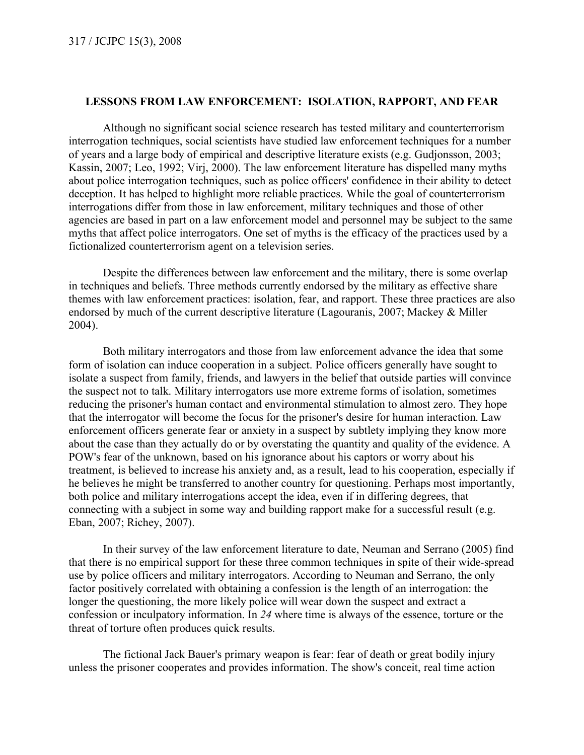#### **LESSONS FROM LAW ENFORCEMENT: ISOLATION, RAPPORT, AND FEAR**

Although no significant social science research has tested military and counterterrorism interrogation techniques, social scientists have studied law enforcement techniques for a number of years and a large body of empirical and descriptive literature exists (e.g. Gudjonsson, 2003; Kassin, 2007; Leo, 1992; Virj, 2000). The law enforcement literature has dispelled many myths about police interrogation techniques, such as police officers' confidence in their ability to detect deception. It has helped to highlight more reliable practices. While the goal of counterterrorism interrogations differ from those in law enforcement, military techniques and those of other agencies are based in part on a law enforcement model and personnel may be subject to the same myths that affect police interrogators. One set of myths is the efficacy of the practices used by a fictionalized counterterrorism agent on a television series.

Despite the differences between law enforcement and the military, there is some overlap in techniques and beliefs. Three methods currently endorsed by the military as effective share themes with law enforcement practices: isolation, fear, and rapport. These three practices are also endorsed by much of the current descriptive literature (Lagouranis, 2007; Mackey & Miller 2004).

Both military interrogators and those from law enforcement advance the idea that some form of isolation can induce cooperation in a subject. Police officers generally have sought to isolate a suspect from family, friends, and lawyers in the belief that outside parties will convince the suspect not to talk. Military interrogators use more extreme forms of isolation, sometimes reducing the prisoner's human contact and environmental stimulation to almost zero. They hope that the interrogator will become the focus for the prisoner's desire for human interaction. Law enforcement officers generate fear or anxiety in a suspect by subtlety implying they know more about the case than they actually do or by overstating the quantity and quality of the evidence. A POW's fear of the unknown, based on his ignorance about his captors or worry about his treatment, is believed to increase his anxiety and, as a result, lead to his cooperation, especially if he believes he might be transferred to another country for questioning. Perhaps most importantly, both police and military interrogations accept the idea, even if in differing degrees, that connecting with a subject in some way and building rapport make for a successful result (e.g. Eban, 2007; Richey, 2007).

In their survey of the law enforcement literature to date, Neuman and Serrano (2005) find that there is no empirical support for these three common techniques in spite of their wide-spread use by police officers and military interrogators. According to Neuman and Serrano, the only factor positively correlated with obtaining a confession is the length of an interrogation: the longer the questioning, the more likely police will wear down the suspect and extract a confession or inculpatory information. In *24* where time is always of the essence, torture or the threat of torture often produces quick results.

The fictional Jack Bauer's primary weapon is fear: fear of death or great bodily injury unless the prisoner cooperates and provides information. The show's conceit, real time action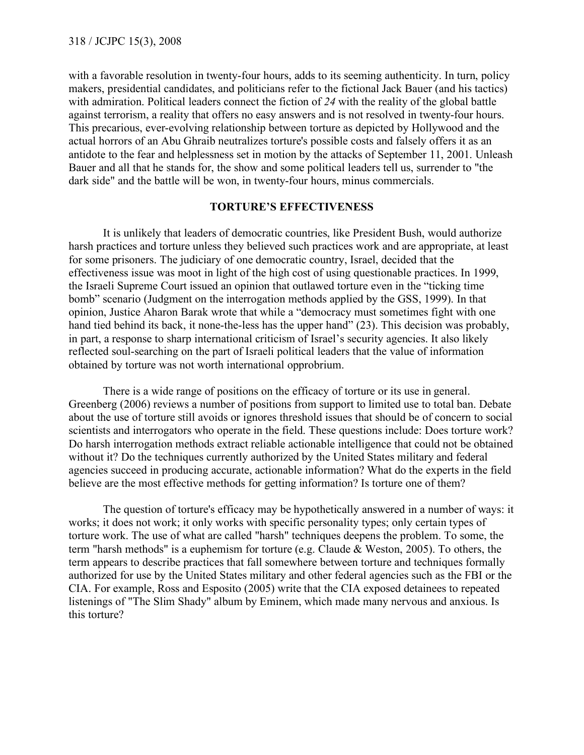with a favorable resolution in twenty-four hours, adds to its seeming authenticity. In turn, policy makers, presidential candidates, and politicians refer to the fictional Jack Bauer (and his tactics) with admiration. Political leaders connect the fiction of *24* with the reality of the global battle against terrorism, a reality that offers no easy answers and is not resolved in twenty-four hours. This precarious, ever-evolving relationship between torture as depicted by Hollywood and the actual horrors of an Abu Ghraib neutralizes torture's possible costs and falsely offers it as an antidote to the fear and helplessness set in motion by the attacks of September 11, 2001. Unleash Bauer and all that he stands for, the show and some political leaders tell us, surrender to "the dark side" and the battle will be won, in twenty-four hours, minus commercials.

#### **TORTURE'S EFFECTIVENESS**

It is unlikely that leaders of democratic countries, like President Bush, would authorize harsh practices and torture unless they believed such practices work and are appropriate, at least for some prisoners. The judiciary of one democratic country, Israel, decided that the effectiveness issue was moot in light of the high cost of using questionable practices. In 1999, the Israeli Supreme Court issued an opinion that outlawed torture even in the "ticking time bomb" scenario (Judgment on the interrogation methods applied by the GSS, 1999). In that opinion, Justice Aharon Barak wrote that while a "democracy must sometimes fight with one hand tied behind its back, it none-the-less has the upper hand" (23). This decision was probably, in part, a response to sharp international criticism of Israel's security agencies. It also likely reflected soul-searching on the part of Israeli political leaders that the value of information obtained by torture was not worth international opprobrium.

There is a wide range of positions on the efficacy of torture or its use in general. Greenberg (2006) reviews a number of positions from support to limited use to total ban. Debate about the use of torture still avoids or ignores threshold issues that should be of concern to social scientists and interrogators who operate in the field. These questions include: Does torture work? Do harsh interrogation methods extract reliable actionable intelligence that could not be obtained without it? Do the techniques currently authorized by the United States military and federal agencies succeed in producing accurate, actionable information? What do the experts in the field believe are the most effective methods for getting information? Is torture one of them?

The question of torture's efficacy may be hypothetically answered in a number of ways: it works; it does not work; it only works with specific personality types; only certain types of torture work. The use of what are called "harsh" techniques deepens the problem. To some, the term "harsh methods" is a euphemism for torture (e.g. Claude & Weston, 2005). To others, the term appears to describe practices that fall somewhere between torture and techniques formally authorized for use by the United States military and other federal agencies such as the FBI or the CIA. For example, Ross and Esposito (2005) write that the CIA exposed detainees to repeated listenings of "The Slim Shady" album by Eminem, which made many nervous and anxious. Is this torture?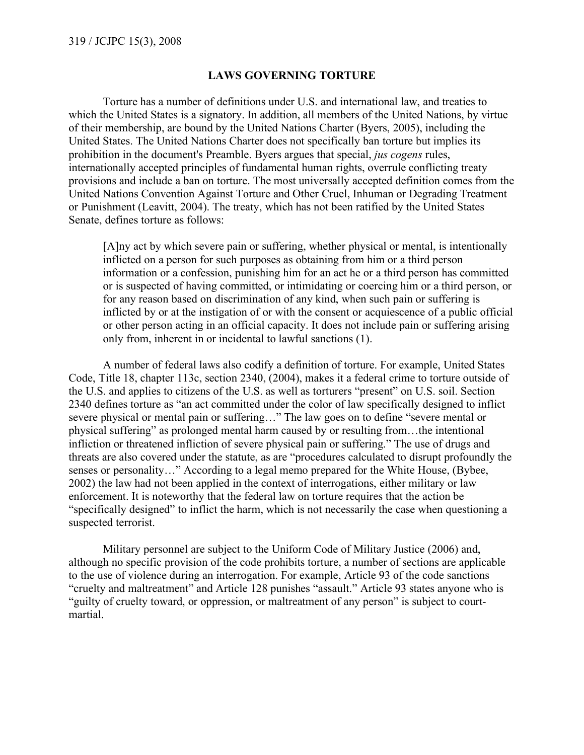#### **LAWS GOVERNING TORTURE**

Torture has a number of definitions under U.S. and international law, and treaties to which the United States is a signatory. In addition, all members of the United Nations, by virtue of their membership, are bound by the United Nations Charter (Byers, 2005), including the United States. The United Nations Charter does not specifically ban torture but implies its prohibition in the document's Preamble. Byers argues that special, *jus cogens* rules, internationally accepted principles of fundamental human rights, overrule conflicting treaty provisions and include a ban on torture. The most universally accepted definition comes from the United Nations Convention Against Torture and Other Cruel, Inhuman or Degrading Treatment or Punishment (Leavitt, 2004). The treaty, which has not been ratified by the United States Senate, defines torture as follows:

[A]ny act by which severe pain or suffering, whether physical or mental, is intentionally inflicted on a person for such purposes as obtaining from him or a third person information or a confession, punishing him for an act he or a third person has committed or is suspected of having committed, or intimidating or coercing him or a third person, or for any reason based on discrimination of any kind, when such pain or suffering is inflicted by or at the instigation of or with the consent or acquiescence of a public official or other person acting in an official capacity. It does not include pain or suffering arising only from, inherent in or incidental to lawful sanctions (1).

A number of federal laws also codify a definition of torture. For example, United States Code, Title 18, chapter 113c, section 2340, (2004), makes it a federal crime to torture outside of the U.S. and applies to citizens of the U.S. as well as torturers "present" on U.S. soil. Section 2340 defines torture as "an act committed under the color of law specifically designed to inflict severe physical or mental pain or suffering…" The law goes on to define "severe mental or physical suffering" as prolonged mental harm caused by or resulting from…the intentional infliction or threatened infliction of severe physical pain or suffering." The use of drugs and threats are also covered under the statute, as are "procedures calculated to disrupt profoundly the senses or personality…" According to a legal memo prepared for the White House, (Bybee, 2002) the law had not been applied in the context of interrogations, either military or law enforcement. It is noteworthy that the federal law on torture requires that the action be "specifically designed" to inflict the harm, which is not necessarily the case when questioning a suspected terrorist.

Military personnel are subject to the Uniform Code of Military Justice (2006) and, although no specific provision of the code prohibits torture, a number of sections are applicable to the use of violence during an interrogation. For example, Article 93 of the code sanctions "cruelty and maltreatment" and Article 128 punishes "assault." Article 93 states anyone who is "guilty of cruelty toward, or oppression, or maltreatment of any person" is subject to courtmartial.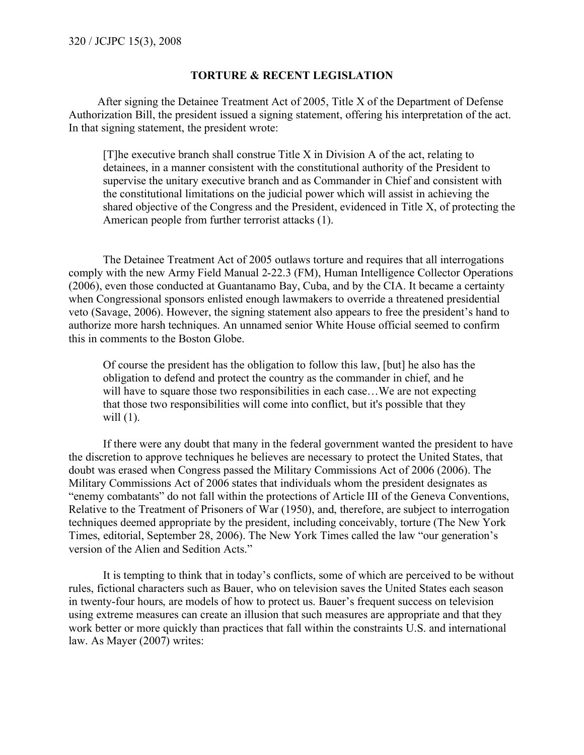#### **TORTURE & RECENT LEGISLATION**

 After signing the Detainee Treatment Act of 2005, Title X of the Department of Defense Authorization Bill, the president issued a signing statement, offering his interpretation of the act. In that signing statement, the president wrote:

[T]he executive branch shall construe Title X in Division A of the act, relating to detainees, in a manner consistent with the constitutional authority of the President to supervise the unitary executive branch and as Commander in Chief and consistent with the constitutional limitations on the judicial power which will assist in achieving the shared objective of the Congress and the President, evidenced in Title X, of protecting the American people from further terrorist attacks (1).

The Detainee Treatment Act of 2005 outlaws torture and requires that all interrogations comply with the new Army Field Manual 2-22.3 (FM), Human Intelligence Collector Operations (2006), even those conducted at Guantanamo Bay, Cuba, and by the CIA. It became a certainty when Congressional sponsors enlisted enough lawmakers to override a threatened presidential veto (Savage, 2006). However, the signing statement also appears to free the president's hand to authorize more harsh techniques. An unnamed senior White House official seemed to confirm this in comments to the Boston Globe.

Of course the president has the obligation to follow this law, [but] he also has the obligation to defend and protect the country as the commander in chief, and he will have to square those two responsibilities in each case...We are not expecting that those two responsibilities will come into conflict, but it's possible that they will (1).

If there were any doubt that many in the federal government wanted the president to have the discretion to approve techniques he believes are necessary to protect the United States, that doubt was erased when Congress passed the Military Commissions Act of 2006 (2006). The Military Commissions Act of 2006 states that individuals whom the president designates as "enemy combatants" do not fall within the protections of Article III of the Geneva Conventions, Relative to the Treatment of Prisoners of War (1950), and, therefore, are subject to interrogation techniques deemed appropriate by the president, including conceivably, torture (The New York Times, editorial, September 28, 2006). The New York Times called the law "our generation's version of the Alien and Sedition Acts."

It is tempting to think that in today's conflicts, some of which are perceived to be without rules, fictional characters such as Bauer, who on television saves the United States each season in twenty-four hours, are models of how to protect us. Bauer's frequent success on television using extreme measures can create an illusion that such measures are appropriate and that they work better or more quickly than practices that fall within the constraints U.S. and international law. As Mayer (2007) writes: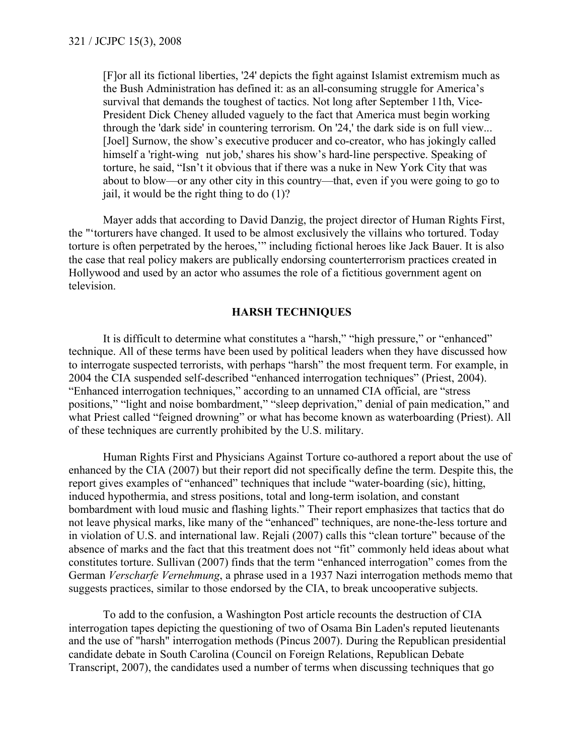[F]or all its fictional liberties, '24' depicts the fight against Islamist extremism much as the Bush Administration has defined it: as an all-consuming struggle for America's survival that demands the toughest of tactics. Not long after September 11th, Vice-President Dick Cheney alluded vaguely to the fact that America must begin working through the 'dark side' in countering terrorism. On '24,' the dark side is on full view... [Joel] Surnow, the show's executive producer and co-creator, who has jokingly called himself a 'right-wing nut job,' shares his show's hard-line perspective. Speaking of torture, he said, "Isn't it obvious that if there was a nuke in New York City that was about to blow—or any other city in this country—that, even if you were going to go to jail, it would be the right thing to do (1)?

Mayer adds that according to David Danzig, the project director of Human Rights First, the "'torturers have changed. It used to be almost exclusively the villains who tortured. Today torture is often perpetrated by the heroes,'" including fictional heroes like Jack Bauer. It is also the case that real policy makers are publically endorsing counterterrorism practices created in Hollywood and used by an actor who assumes the role of a fictitious government agent on television.

#### **HARSH TECHNIQUES**

It is difficult to determine what constitutes a "harsh," "high pressure," or "enhanced" technique. All of these terms have been used by political leaders when they have discussed how to interrogate suspected terrorists, with perhaps "harsh" the most frequent term. For example, in 2004 the CIA suspended self-described "enhanced interrogation techniques" (Priest, 2004). "Enhanced interrogation techniques," according to an unnamed CIA official, are "stress positions," "light and noise bombardment," "sleep deprivation," denial of pain medication," and what Priest called "feigned drowning" or what has become known as waterboarding (Priest). All of these techniques are currently prohibited by the U.S. military.

Human Rights First and Physicians Against Torture co-authored a report about the use of enhanced by the CIA (2007) but their report did not specifically define the term. Despite this, the report gives examples of "enhanced" techniques that include "water-boarding (sic), hitting, induced hypothermia, and stress positions, total and long-term isolation, and constant bombardment with loud music and flashing lights." Their report emphasizes that tactics that do not leave physical marks, like many of the "enhanced" techniques, are none-the-less torture and in violation of U.S. and international law. Rejali (2007) calls this "clean torture" because of the absence of marks and the fact that this treatment does not "fit" commonly held ideas about what constitutes torture. Sullivan (2007) finds that the term "enhanced interrogation" comes from the German *Verscharfe Vernehmung*, a phrase used in a 1937 Nazi interrogation methods memo that suggests practices, similar to those endorsed by the CIA, to break uncooperative subjects.

To add to the confusion, a Washington Post article recounts the destruction of CIA interrogation tapes depicting the questioning of two of Osama Bin Laden's reputed lieutenants and the use of "harsh" interrogation methods (Pincus 2007). During the Republican presidential candidate debate in South Carolina (Council on Foreign Relations, Republican Debate Transcript, 2007), the candidates used a number of terms when discussing techniques that go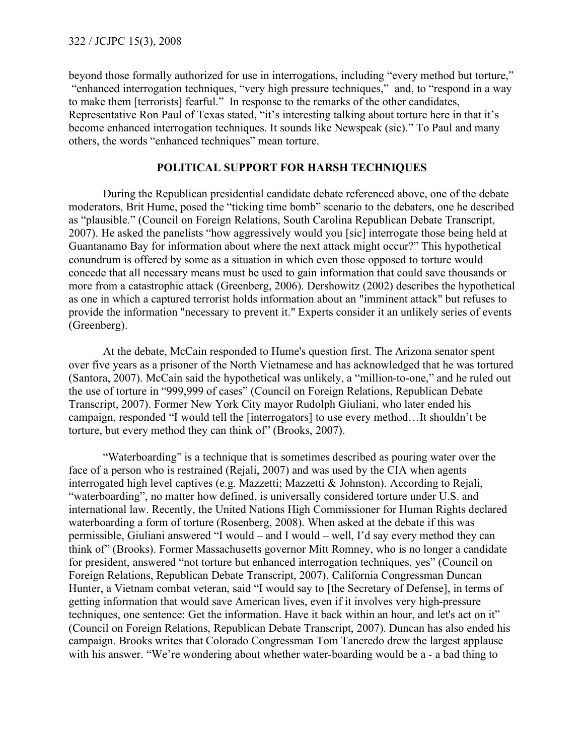beyond those formally authorized for use in interrogations, including "every method but torture," "enhanced interrogation techniques, "very high pressure techniques," and, to "respond in a way to make them [terrorists] fearful." In response to the remarks of the other candidates, Representative Ron Paul of Texas stated, "it's interesting talking about torture here in that it's become enhanced interrogation techniques. It sounds like Newspeak (sic)." To Paul and many others, the words "enhanced techniques" mean torture.

## **POLITICAL SUPPORT FOR HARSH TECHNIQUES**

During the Republican presidential candidate debate referenced above, one of the debate moderators, Brit Hume, posed the "ticking time bomb" scenario to the debaters, one he described as "plausible." (Council on Foreign Relations, South Carolina Republican Debate Transcript, 2007). He asked the panelists "how aggressively would you [sic] interrogate those being held at Guantanamo Bay for information about where the next attack might occur?" This hypothetical conundrum is offered by some as a situation in which even those opposed to torture would concede that all necessary means must be used to gain information that could save thousands or more from a catastrophic attack (Greenberg, 2006). Dershowitz (2002) describes the hypothetical as one in which a captured terrorist holds information about an "imminent attack" but refuses to provide the information "necessary to prevent it." Experts consider it an unlikely series of events (Greenberg).

At the debate, McCain responded to Hume's question first. The Arizona senator spent over five years as a prisoner of the North Vietnamese and has acknowledged that he was tortured (Santora, 2007). McCain said the hypothetical was unlikely, a "million-to-one," and he ruled out the use of torture in "999,999 of cases" (Council on Foreign Relations, Republican Debate Transcript, 2007). Former New York City mayor Rudolph Giuliani, who later ended his campaign, responded "I would tell the [interrogators] to use every method…It shouldn't be torture, but every method they can think of" (Brooks, 2007).

"Waterboarding" is a technique that is sometimes described as pouring water over the face of a person who is restrained (Rejali, 2007) and was used by the CIA when agents interrogated high level captives (e.g. Mazzetti; Mazzetti & Johnston). According to Rejali, "waterboarding", no matter how defined, is universally considered torture under U.S. and international law. Recently, the United Nations High Commissioner for Human Rights declared waterboarding a form of torture (Rosenberg, 2008). When asked at the debate if this was permissible, Giuliani answered "I would – and I would – well, I'd say every method they can think of" (Brooks). Former Massachusetts governor Mitt Romney, who is no longer a candidate for president, answered "not torture but enhanced interrogation techniques, yes" (Council on Foreign Relations, Republican Debate Transcript, 2007). California Congressman Duncan Hunter, a Vietnam combat veteran, said "I would say to [the Secretary of Defense], in terms of getting information that would save American lives, even if it involves very high-pressure techniques, one sentence: Get the information. Have it back within an hour, and let's act on it" (Council on Foreign Relations, Republican Debate Transcript, 2007). Duncan has also ended his campaign. Brooks writes that Colorado Congressman Tom Tancredo drew the largest applause with his answer. "We're wondering about whether water-boarding would be a - a bad thing to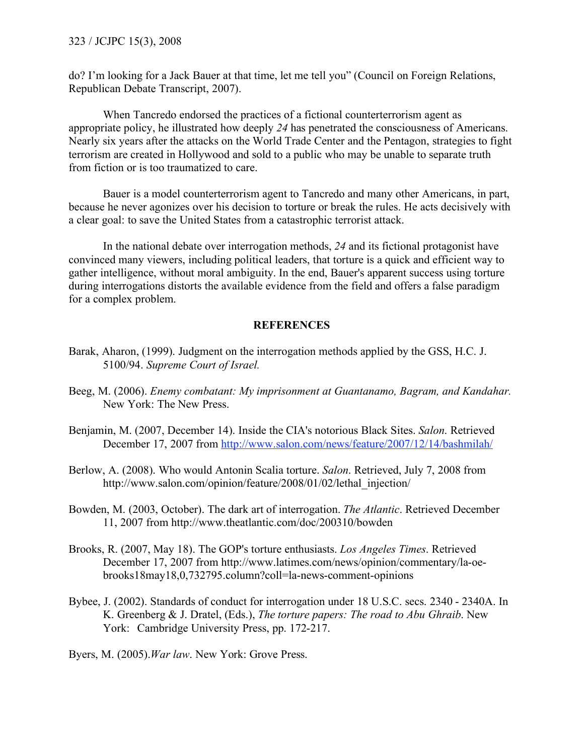do? I'm looking for a Jack Bauer at that time, let me tell you" (Council on Foreign Relations, Republican Debate Transcript, 2007).

When Tancredo endorsed the practices of a fictional counterterrorism agent as appropriate policy, he illustrated how deeply *24* has penetrated the consciousness of Americans. Nearly six years after the attacks on the World Trade Center and the Pentagon, strategies to fight terrorism are created in Hollywood and sold to a public who may be unable to separate truth from fiction or is too traumatized to care.

Bauer is a model counterterrorism agent to Tancredo and many other Americans, in part, because he never agonizes over his decision to torture or break the rules. He acts decisively with a clear goal: to save the United States from a catastrophic terrorist attack.

In the national debate over interrogation methods, *24* and its fictional protagonist have convinced many viewers, including political leaders, that torture is a quick and efficient way to gather intelligence, without moral ambiguity. In the end, Bauer's apparent success using torture during interrogations distorts the available evidence from the field and offers a false paradigm for a complex problem.

## **REFERENCES**

- Barak, Aharon, (1999). Judgment on the interrogation methods applied by the GSS, H.C. J. 5100/94. *Supreme Court of Israel.*
- Beeg, M. (2006). *Enemy combatant: My imprisonment at Guantanamo, Bagram, and Kandahar.* New York: The New Press.
- Benjamin, M. (2007, December 14). Inside the CIA's notorious Black Sites. *Salon*. Retrieved December 17, 2007 from http://www.salon.com/news/feature/2007/12/14/bashmilah/
- Berlow, A. (2008). Who would Antonin Scalia torture. *Salon*. Retrieved, July 7, 2008 from http://www.salon.com/opinion/feature/2008/01/02/lethal\_injection/
- Bowden, M. (2003, October). The dark art of interrogation. *The Atlantic*. Retrieved December 11, 2007 from http://www.theatlantic.com/doc/200310/bowden
- Brooks, R. (2007, May 18). The GOP's torture enthusiasts. *Los Angeles Times*. Retrieved December 17, 2007 from http://www.latimes.com/news/opinion/commentary/la-oebrooks18may18,0,732795.column?coll=la-news-comment-opinions
- Bybee, J. (2002). Standards of conduct for interrogation under 18 U.S.C. secs. 2340 2340A. In K. Greenberg & J. Dratel, (Eds.), *The torture papers: The road to Abu Ghraib*. New York: Cambridge University Press, pp. 172-217.
- Byers, M. (2005).*War law*. New York: Grove Press.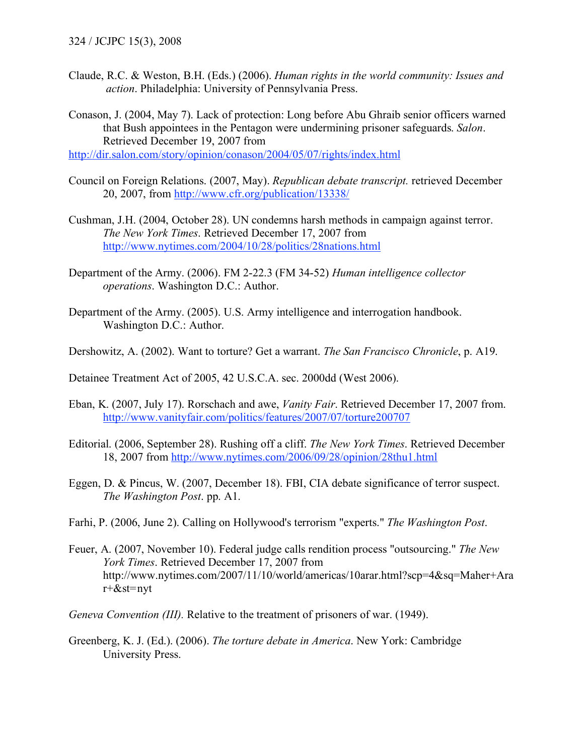Claude, R.C. & Weston, B.H. (Eds.) (2006). *Human rights in the world community: Issues and action*. Philadelphia: University of Pennsylvania Press.

Conason, J. (2004, May 7). Lack of protection: Long before Abu Ghraib senior officers warned that Bush appointees in the Pentagon were undermining prisoner safeguards. *Salon*. Retrieved December 19, 2007 from

http://dir.salon.com/story/opinion/conason/2004/05/07/rights/index.html

- Council on Foreign Relations. (2007, May). *Republican debate transcript.* retrieved December 20, 2007, from http://www.cfr.org/publication/13338/
- Cushman, J.H. (2004, October 28). UN condemns harsh methods in campaign against terror. *The New York Times*. Retrieved December 17, 2007 from http://www.nytimes.com/2004/10/28/politics/28nations.html
- Department of the Army. (2006). FM 2-22.3 (FM 34-52) *Human intelligence collector operations*. Washington D.C.: Author.
- Department of the Army. (2005). U.S. Army intelligence and interrogation handbook. Washington D.C.: Author.
- Dershowitz, A. (2002). Want to torture? Get a warrant. *The San Francisco Chronicle*, p. A19.

Detainee Treatment Act of 2005, 42 U.S.C.A. sec. 2000dd (West 2006).

- Eban, K. (2007, July 17). Rorschach and awe, *Vanity Fair*. Retrieved December 17, 2007 from. http://www.vanityfair.com/politics/features/2007/07/torture200707
- Editorial. (2006, September 28). Rushing off a cliff. *The New York Times*. Retrieved December 18, 2007 from http://www.nytimes.com/2006/09/28/opinion/28thu1.html
- Eggen, D. & Pincus, W. (2007, December 18). FBI, CIA debate significance of terror suspect. *The Washington Post*. pp. A1.
- Farhi, P. (2006, June 2). Calling on Hollywood's terrorism "experts." *The Washington Post*.
- Feuer, A. (2007, November 10). Federal judge calls rendition process "outsourcing." *The New York Times*. Retrieved December 17, 2007 from http://www.nytimes.com/2007/11/10/world/americas/10arar.html?scp=4&sq=Maher+Ara r+&st=nyt

*Geneva Convention (III).* Relative to the treatment of prisoners of war. (1949).

Greenberg, K. J. (Ed.). (2006). *The torture debate in America*. New York: Cambridge University Press.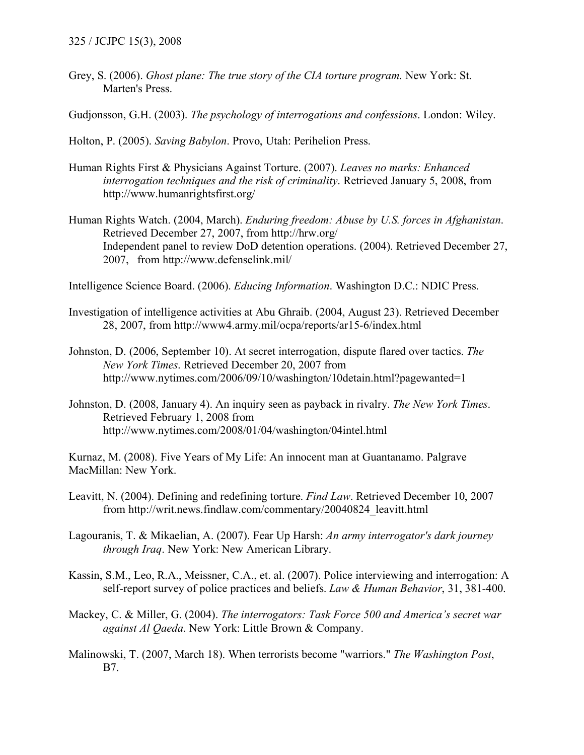- Grey, S. (2006). *Ghost plane: The true story of the CIA torture program*. New York: St. Marten's Press.
- Gudjonsson, G.H. (2003). *The psychology of interrogations and confessions*. London: Wiley.
- Holton, P. (2005). *Saving Babylon*. Provo, Utah: Perihelion Press.
- Human Rights First & Physicians Against Torture. (2007). *Leaves no marks: Enhanced interrogation techniques and the risk of criminality*. Retrieved January 5, 2008, from http://www.humanrightsfirst.org/
- Human Rights Watch. (2004, March). *Enduring freedom: Abuse by U.S. forces in Afghanistan*. Retrieved December 27, 2007, from http://hrw.org/ Independent panel to review DoD detention operations. (2004). Retrieved December 27, 2007, from http://www.defenselink.mil/

Intelligence Science Board. (2006). *Educing Information*. Washington D.C.: NDIC Press.

- Investigation of intelligence activities at Abu Ghraib. (2004, August 23). Retrieved December 28, 2007, from http://www4.army.mil/ocpa/reports/ar15-6/index.html
- Johnston, D. (2006, September 10). At secret interrogation, dispute flared over tactics. *The New York Times*. Retrieved December 20, 2007 from http://www.nytimes.com/2006/09/10/washington/10detain.html?pagewanted=1
- Johnston, D. (2008, January 4). An inquiry seen as payback in rivalry. *The New York Times*. Retrieved February 1, 2008 from http://www.nytimes.com/2008/01/04/washington/04intel.html

Kurnaz, M. (2008). Five Years of My Life: An innocent man at Guantanamo. Palgrave MacMillan: New York.

- Leavitt, N. (2004). Defining and redefining torture. *Find Law*. Retrieved December 10, 2007 from http://writ.news.findlaw.com/commentary/20040824\_leavitt.html
- Lagouranis, T. & Mikaelian, A. (2007). Fear Up Harsh: *An army interrogator's dark journey through Iraq*. New York: New American Library.
- Kassin, S.M., Leo, R.A., Meissner, C.A., et. al. (2007). Police interviewing and interrogation: A self-report survey of police practices and beliefs. *Law & Human Behavior*, 31, 381-400.
- Mackey, C. & Miller, G. (2004). *The interrogators: Task Force 500 and America's secret war against Al Qaeda*. New York: Little Brown & Company.
- Malinowski, T. (2007, March 18). When terrorists become "warriors." *The Washington Post*, B7.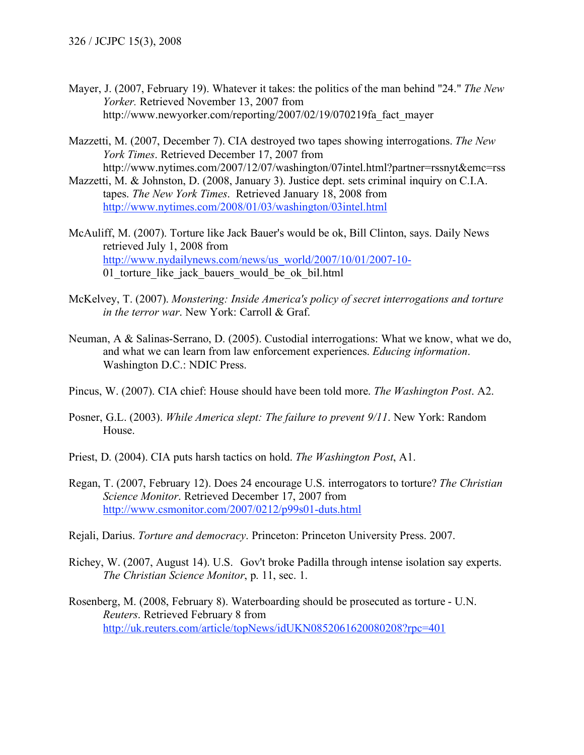- Mayer, J. (2007, February 19). Whatever it takes: the politics of the man behind "24." *The New Yorker.* Retrieved November 13, 2007 from http://www.newyorker.com/reporting/2007/02/19/070219fa\_fact\_mayer
- Mazzetti, M. (2007, December 7). CIA destroyed two tapes showing interrogations. *The New York Times*. Retrieved December 17, 2007 from http://www.nytimes.com/2007/12/07/washington/07intel.html?partner=rssnyt&emc=rss
- Mazzetti, M. & Johnston, D. (2008, January 3). Justice dept. sets criminal inquiry on C.I.A. tapes. *The New York Times*. Retrieved January 18, 2008 from http://www.nytimes.com/2008/01/03/washington/03intel.html
- McAuliff, M. (2007). Torture like Jack Bauer's would be ok, Bill Clinton, says. Daily News retrieved July 1, 2008 from http://www.nydailynews.com/news/us\_world/2007/10/01/2007-10- 01 torture like jack bauers would be ok bil.html
- McKelvey, T. (2007). *Monstering: Inside America's policy of secret interrogations and torture in the terror war*. New York: Carroll & Graf.
- Neuman, A & Salinas-Serrano, D. (2005). Custodial interrogations: What we know, what we do, and what we can learn from law enforcement experiences. *Educing information*. Washington D.C.: NDIC Press.
- Pincus, W. (2007). CIA chief: House should have been told more. *The Washington Post*. A2.
- Posner, G.L. (2003). *While America slept: The failure to prevent 9/11*. New York: Random House.
- Priest, D. (2004). CIA puts harsh tactics on hold. *The Washington Post*, A1.
- Regan, T. (2007, February 12). Does 24 encourage U.S. interrogators to torture? *The Christian Science Monitor*. Retrieved December 17, 2007 from http://www.csmonitor.com/2007/0212/p99s01-duts.html
- Rejali, Darius. *Torture and democracy*. Princeton: Princeton University Press. 2007.
- Richey, W. (2007, August 14). U.S. Gov't broke Padilla through intense isolation say experts. *The Christian Science Monitor*, p. 11, sec. 1.
- Rosenberg, M. (2008, February 8). Waterboarding should be prosecuted as torture U.N. *Reuters*. Retrieved February 8 from http://uk.reuters.com/article/topNews/idUKN0852061620080208?rpc=401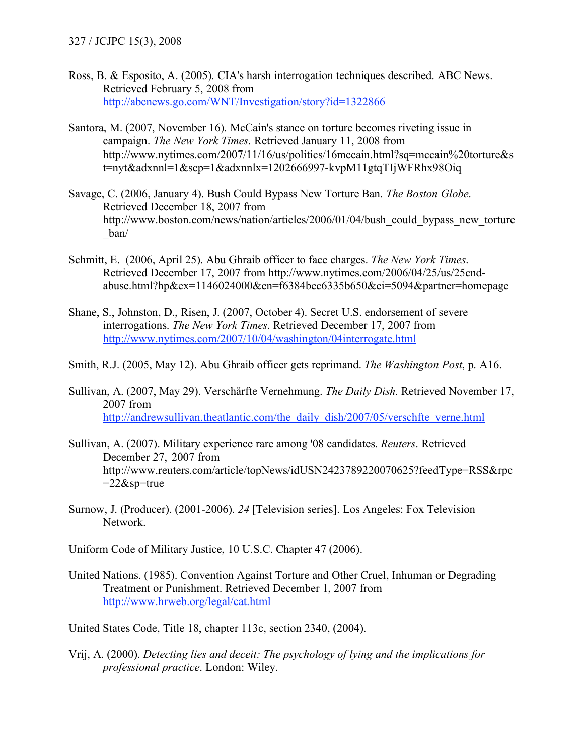- Ross, B. & Esposito, A. (2005). CIA's harsh interrogation techniques described. ABC News. Retrieved February 5, 2008 from http://abcnews.go.com/WNT/Investigation/story?id=1322866
- Santora, M. (2007, November 16). McCain's stance on torture becomes riveting issue in campaign. *The New York Times*. Retrieved January 11, 2008 from http://www.nytimes.com/2007/11/16/us/politics/16mccain.html?sq=mccain%20torture&s t=nyt&adxnnl=1&scp=1&adxnnlx=1202666997-kvpM11gtqTIjWFRhx98Oiq
- Savage, C. (2006, January 4). Bush Could Bypass New Torture Ban. *The Boston Globe*. Retrieved December 18, 2007 from http://www.boston.com/news/nation/articles/2006/01/04/bush\_could\_bypass\_new\_torture \_ban/
- Schmitt, E. (2006, April 25). Abu Ghraib officer to face charges. *The New York Times*. Retrieved December 17, 2007 from http://www.nytimes.com/2006/04/25/us/25cndabuse.html?hp&ex=1146024000&en=f6384bec6335b650&ei=5094&partner=homepage
- Shane, S., Johnston, D., Risen, J. (2007, October 4). Secret U.S. endorsement of severe interrogations. *The New York Times*. Retrieved December 17, 2007 from http://www.nytimes.com/2007/10/04/washington/04interrogate.html

Smith, R.J. (2005, May 12). Abu Ghraib officer gets reprimand. *The Washington Post*, p. A16.

- Sullivan, A. (2007, May 29). Verschärfte Vernehmung. *The Daily Dish.* Retrieved November 17, 2007 from http://andrewsullivan.theatlantic.com/the\_daily\_dish/2007/05/verschfte\_verne.html
- Sullivan, A. (2007). Military experience rare among '08 candidates. *Reuters*. Retrieved December 27, 2007 from http://www.reuters.com/article/topNews/idUSN2423789220070625?feedType=RSS&rpc  $=22$ &sp=true
- Surnow, J. (Producer). (2001-2006). *24* [Television series]. Los Angeles: Fox Television Network.

Uniform Code of Military Justice, 10 U.S.C. Chapter 47 (2006).

United Nations. (1985). Convention Against Torture and Other Cruel, Inhuman or Degrading Treatment or Punishment. Retrieved December 1, 2007 from http://www.hrweb.org/legal/cat.html

United States Code, Title 18, chapter 113c, section 2340, (2004).

Vrij, A. (2000). *Detecting lies and deceit: The psychology of lying and the implications for professional practice*. London: Wiley.